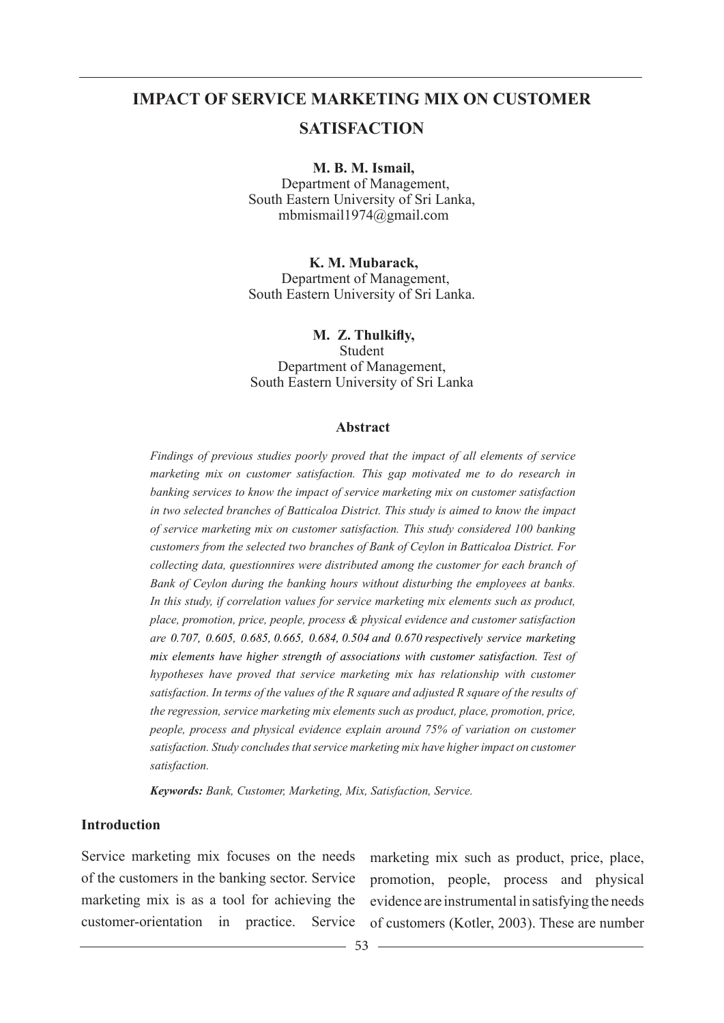# **IMPACT OF SERVICE MARKETING MIX ON CUSTOMER**

# **SATISFACTION**

 **M. B. M. Ismail,** 

 Department of Management, South Eastern University of Sri Lanka, mbmismail1974@gmail.com

 **K. M. Mubarack,**  Department of Management, South Eastern University of Sri Lanka.

 **M. Z. Thulkifly,**  Student Department of Management, South Eastern University of Sri Lanka

#### **Abstract**

*Findings of previous studies poorly proved that the impact of all elements of service marketing mix on customer satisfaction. This gap motivated me to do research in banking services to know the impact of service marketing mix on customer satisfaction in two selected branches of Batticaloa District. This study is aimed to know the impact of service marketing mix on customer satisfaction. This study considered 100 banking customers from the selected two branches of Bank of Ceylon in Batticaloa District. For collecting data, questionnires were distributed among the customer for each branch of Bank of Ceylon during the banking hours without disturbing the employees at banks. In this study, if correlation values for service marketing mix elements such as product, place, promotion, price, people, process & physical evidence and customer satisfaction are 0.707, 0.605, 0.685, 0.665, 0.684, 0.504 and 0.670 respectively service marketing mix elements have higher strength of associations with customer satisfaction. Test of hypotheses have proved that service marketing mix has relationship with customer satisfaction. In terms of the values of the R square and adjusted R square of the results of the regression, service marketing mix elements such as product, place, promotion, price, people, process and physical evidence explain around 75% of variation on customer satisfaction. Study concludes that service marketing mix have higher impact on customer satisfaction.*

*Keywords: Bank, Customer, Marketing, Mix, Satisfaction, Service.*

### **Introduction**

Service marketing mix focuses on the needs marketing mix such as product, price, place, of the customers in the banking sector. Service marketing mix is as a tool for achieving the

customer-orientation in practice. Service of customers (Kotler, 2003). These are number promotion, people, process and physical evidence are instrumental in satisfying the needs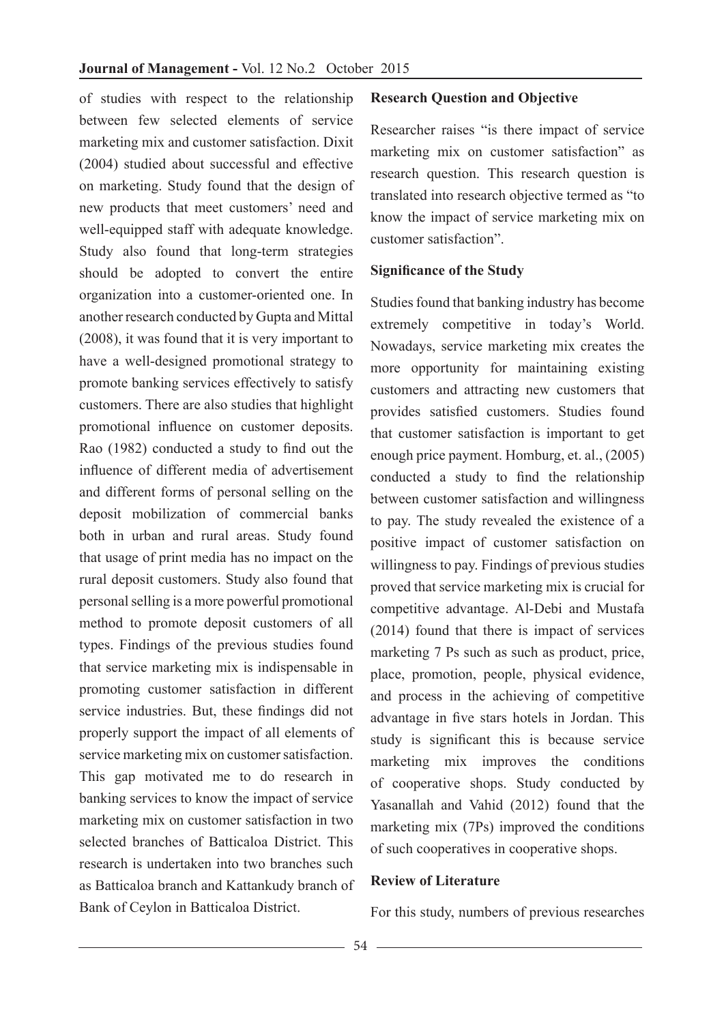of studies with respect to the relationship between few selected elements of service marketing mix and customer satisfaction. Dixit (2004) studied about successful and effective on marketing. Study found that the design of new products that meet customers' need and well-equipped staff with adequate knowledge. Study also found that long-term strategies should be adopted to convert the entire organization into a customer-oriented one. In another research conducted by Gupta and Mittal (2008), it was found that it is very important to have a well-designed promotional strategy to promote banking services effectively to satisfy customers. There are also studies that highlight promotional influence on customer deposits. Rao (1982) conducted a study to find out the influence of different media of advertisement and different forms of personal selling on the deposit mobilization of commercial banks both in urban and rural areas. Study found that usage of print media has no impact on the rural deposit customers. Study also found that personal selling is a more powerful promotional method to promote deposit customers of all types. Findings of the previous studies found that service marketing mix is indispensable in promoting customer satisfaction in different service industries. But, these findings did not properly support the impact of all elements of service marketing mix on customer satisfaction. This gap motivated me to do research in banking services to know the impact of service marketing mix on customer satisfaction in two selected branches of Batticaloa District. This research is undertaken into two branches such as Batticaloa branch and Kattankudy branch of Bank of Ceylon in Batticaloa District.

### **Research Question and Objective**

Researcher raises "is there impact of service marketing mix on customer satisfaction" as research question. This research question is translated into research objective termed as "to know the impact of service marketing mix on customer satisfaction".

### **Significance of the Study**

Studies found that banking industry has become extremely competitive in today's World. Nowadays, service marketing mix creates the more opportunity for maintaining existing customers and attracting new customers that provides satisfied customers. Studies found that customer satisfaction is important to get enough price payment. Homburg, et. al., (2005) conducted a study to find the relationship between customer satisfaction and willingness to pay. The study revealed the existence of a positive impact of customer satisfaction on willingness to pay. Findings of previous studies proved that service marketing mix is crucial for competitive advantage. Al-Debi and Mustafa (2014) found that there is impact of services marketing 7 Ps such as such as product, price, place, promotion, people, physical evidence, and process in the achieving of competitive advantage in five stars hotels in Jordan. This study is significant this is because service marketing mix improves the conditions of cooperative shops. Study conducted by Yasanallah and Vahid (2012) found that the marketing mix (7Ps) improved the conditions of such cooperatives in cooperative shops.

### **Review of Literature**

For this study, numbers of previous researches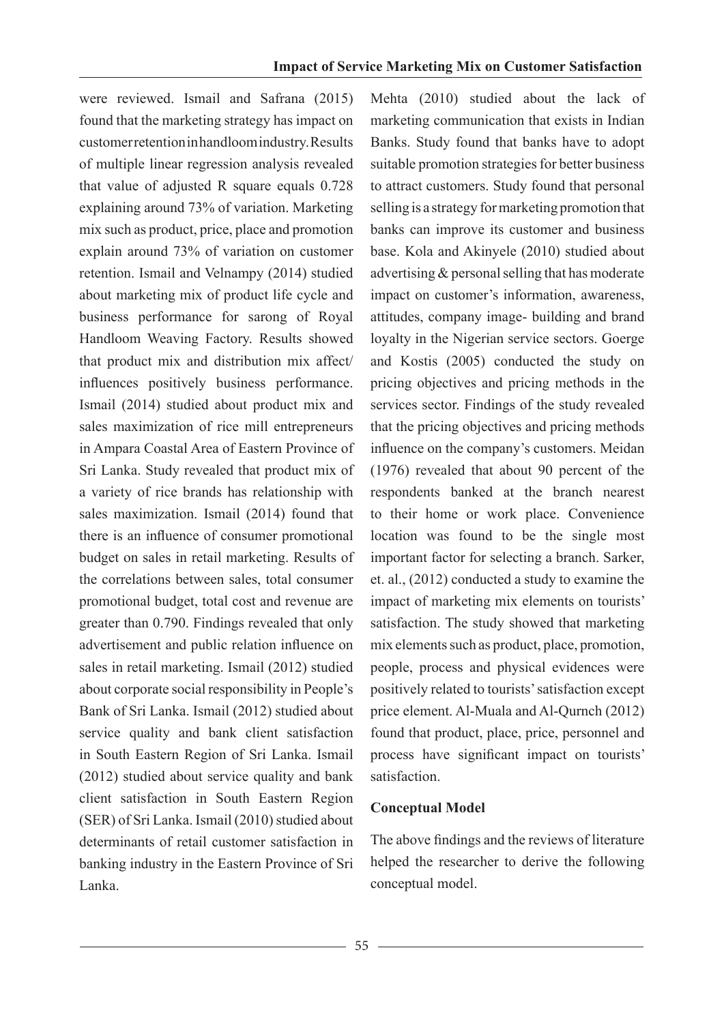were reviewed. Ismail and Safrana (2015) found that the marketing strategy has impact on customer retention in handloom industry. Results of multiple linear regression analysis revealed that value of adjusted R square equals 0.728 explaining around 73% of variation. Marketing mix such as product, price, place and promotion explain around 73% of variation on customer retention. Ismail and Velnampy (2014) studied about marketing mix of product life cycle and business performance for sarong of Royal Handloom Weaving Factory. Results showed that product mix and distribution mix affect/ influences positively business performance. Ismail (2014) studied about product mix and sales maximization of rice mill entrepreneurs in Ampara Coastal Area of Eastern Province of Sri Lanka. Study revealed that product mix of a variety of rice brands has relationship with sales maximization. Ismail (2014) found that there is an influence of consumer promotional budget on sales in retail marketing. Results of the correlations between sales, total consumer promotional budget, total cost and revenue are greater than 0.790. Findings revealed that only advertisement and public relation influence on sales in retail marketing. Ismail (2012) studied about corporate social responsibility in People's Bank of Sri Lanka. Ismail (2012) studied about service quality and bank client satisfaction in South Eastern Region of Sri Lanka. Ismail (2012) studied about service quality and bank client satisfaction in South Eastern Region (SER) of Sri Lanka. Ismail (2010) studied about determinants of retail customer satisfaction in banking industry in the Eastern Province of Sri Lanka.

Mehta (2010) studied about the lack of marketing communication that exists in Indian Banks. Study found that banks have to adopt suitable promotion strategies for better business to attract customers. Study found that personal selling is a strategy for marketing promotion that banks can improve its customer and business base. Kola and Akinyele (2010) studied about advertising & personal selling that has moderate impact on customer's information, awareness, attitudes, company image- building and brand loyalty in the Nigerian service sectors. Goerge and Kostis (2005) conducted the study on pricing objectives and pricing methods in the services sector. Findings of the study revealed that the pricing objectives and pricing methods influence on the company's customers. Meidan (1976) revealed that about 90 percent of the respondents banked at the branch nearest to their home or work place. Convenience location was found to be the single most important factor for selecting a branch. Sarker, et. al., (2012) conducted a study to examine the impact of marketing mix elements on tourists' satisfaction. The study showed that marketing mix elements such as product, place, promotion, people, process and physical evidences were positively related to tourists' satisfaction except price element. Al-Muala and Al-Qurnch (2012) found that product, place, price, personnel and process have significant impact on tourists' satisfaction.

## **Conceptual Model**

The above findings and the reviews of literature helped the researcher to derive the following conceptual model.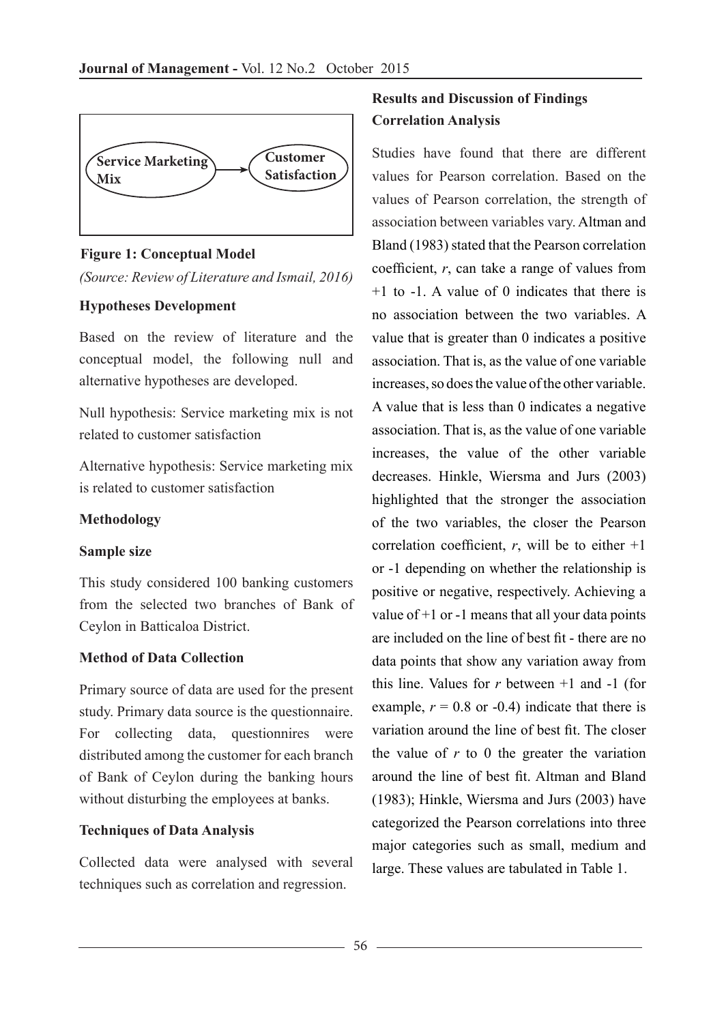

**Figure 1: Conceptual Model**

*(Source: Review of Literature and Ismail, 2016)*

## **Hypotheses Development**

Based on the review of literature and the conceptual model, the following null and alternative hypotheses are developed.

Null hypothesis: Service marketing mix is not related to customer satisfaction

Alternative hypothesis: Service marketing mix is related to customer satisfaction

# **Methodology**

# **Sample size**

This study considered 100 banking customers from the selected two branches of Bank of Ceylon in Batticaloa District.

# **Method of Data Collection**

Primary source of data are used for the present study. Primary data source is the questionnaire. For collecting data, questionnires were distributed among the customer for each branch of Bank of Ceylon during the banking hours without disturbing the employees at banks.

# **Techniques of Data Analysis**

Collected data were analysed with several techniques such as correlation and regression.

# **Results and Discussion of Findings Correlation Analysis**

Studies have found that there are different values for Pearson correlation. Based on the values of Pearson correlation, the strength of association between variables vary. Altman and Bland (1983) stated that the Pearson correlation coefficient, *r*, can take a range of values from  $+1$  to  $-1$ . A value of 0 indicates that there is no association between the two variables. A value that is greater than 0 indicates a positive association. That is, as the value of one variable increases, so does the value of the other variable. A value that is less than 0 indicates a negative association. That is, as the value of one variable increases, the value of the other variable decreases. Hinkle, Wiersma and Jurs (2003) highlighted that the stronger the association of the two variables, the closer the Pearson correlation coefficient,  $r$ , will be to either  $+1$ or -1 depending on whether the relationship is positive or negative, respectively. Achieving a value of  $+1$  or  $-1$  means that all your data points are included on the line of best fit - there are no data points that show any variation away from this line. Values for  $r$  between  $+1$  and  $-1$  (for example,  $r = 0.8$  or -0.4) indicate that there is variation around the line of best fit. The closer the value of  $r$  to 0 the greater the variation around the line of best fit. Altman and Bland (1983); Hinkle, Wiersma and Jurs (2003) have categorized the Pearson correlations into three major categories such as small, medium and large. These values are tabulated in Table 1.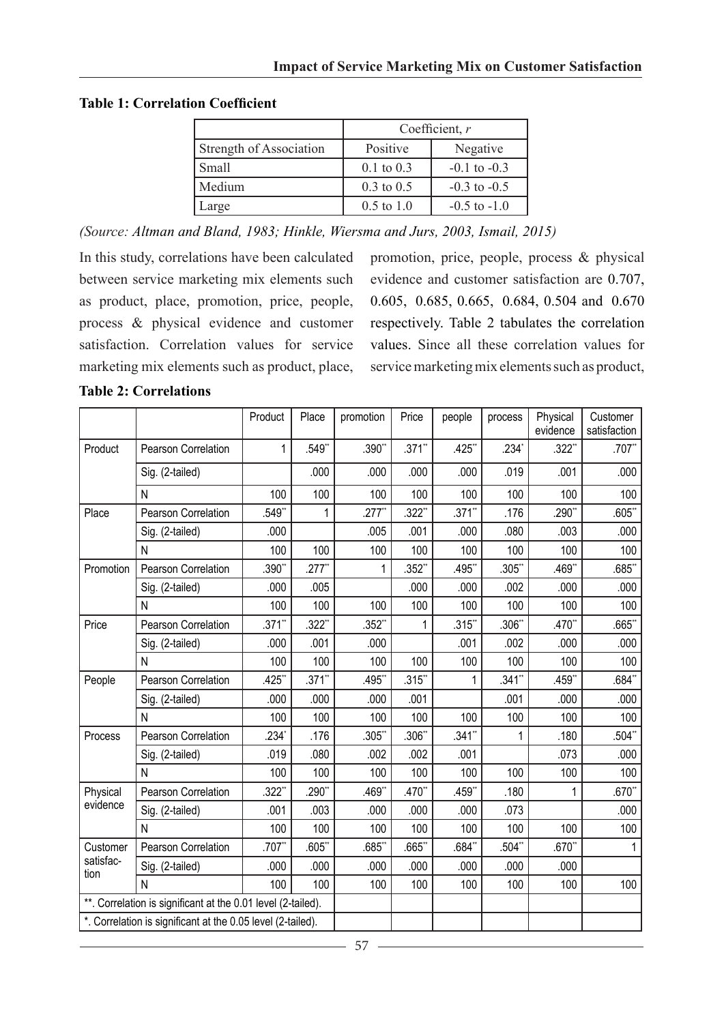**Table 1: Correlation Coefficient**

|                         | Coefficient, $r$      |                  |  |  |
|-------------------------|-----------------------|------------------|--|--|
| Strength of Association | Positive              | Negative         |  |  |
| Small                   | $0.1$ to $0.3$        | $-0.1$ to $-0.3$ |  |  |
| Medium                  | $0.3 \text{ to } 0.5$ | $-0.3$ to $-0.5$ |  |  |
| Large                   | $0.5$ to $1.0$        | $-0.5$ to $-1.0$ |  |  |

*(Source: Altman and Bland, 1983; Hinkle, Wiersma and Jurs, 2003, Ismail, 2015)*

In this study, correlations have been calculated between service marketing mix elements such as product, place, promotion, price, people, process & physical evidence and customer satisfaction. Correlation values for service marketing mix elements such as product, place, promotion, price, people, process & physical evidence and customer satisfaction are 0.707, 0.605, 0.685, 0.665, 0.684, 0.504 and 0.670 respectively. Table 2 tabulates the correlation values. Since all these correlation values for service marketing mix elements such as product,

|                                                              |                     | Product   | Place       | promotion            | Price     | people    | process  | Physical<br>evidence | Customer<br>satisfaction |
|--------------------------------------------------------------|---------------------|-----------|-------------|----------------------|-----------|-----------|----------|----------------------|--------------------------|
| Product                                                      | Pearson Correlation | 1         | $.549$ *    | .390**               | $.371**$  | .425**    | .234'    | $.322$ <sup>**</sup> | $.707$ *                 |
|                                                              | Sig. (2-tailed)     |           | .000        | .000                 | .000      | .000      | .019     | .001                 | .000                     |
|                                                              | N                   | 100       | 100         | 100                  | 100       | 100       | 100      | 100                  | 100                      |
| Place                                                        | Pearson Correlation | $.549**$  | 1           | $.277$ <sup>**</sup> | $.322**$  | $.371$ "  | .176     | $.290**$             | $.605**$                 |
|                                                              | Sig. (2-tailed)     | .000      |             | .005                 | .001      | .000      | .080     | .003                 | .000                     |
|                                                              | N                   | 100       | 100         | 100                  | 100       | 100       | 100      | 100                  | 100                      |
| Promotion                                                    | Pearson Correlation | .390**    | $.277$ "    | 1                    | $.352**$  | .495**    | $.305*$  | .469**               | $.685$ **                |
|                                                              | Sig. (2-tailed)     | .000      | .005        |                      | .000      | .000      | .002     | .000                 | .000                     |
|                                                              | N                   | 100       | 100         | 100                  | 100       | 100       | 100      | 100                  | 100                      |
| Price                                                        | Pearson Correlation | $.371$ ** | .322"       | .352"                | 1         | .315"     | $.306*$  | .470*                | .665                     |
|                                                              | Sig. (2-tailed)     | .000      | .001        | .000                 |           | .001      | .002     | .000                 | .000                     |
|                                                              | N                   | 100       | 100         | 100                  | 100       | 100       | 100      | 100                  | 100                      |
| People                                                       | Pearson Correlation | .425**    | $.371$ **   | .495*                | $.315$ ** | 1         | $.341$ * | .459**               | $.684**$                 |
|                                                              | Sig. (2-tailed)     | .000      | .000        | .000                 | .001      |           | .001     | .000                 | .000                     |
|                                                              | N                   | 100       | 100         | 100                  | 100       | 100       | 100      | 100                  | 100                      |
| Process                                                      | Pearson Correlation | $.234*$   | .176        | .305"                | $.306**$  | $.341$ ** | 1        | .180                 | $.504**$                 |
|                                                              | Sig. (2-tailed)     | .019      | .080        | .002                 | .002      | .001      |          | .073                 | .000                     |
|                                                              | N                   | 100       | 100         | 100                  | 100       | 100       | 100      | 100                  | 100                      |
| Physical                                                     | Pearson Correlation | $.322**$  | $.290^{**}$ | .469*                | $.470**$  | .459**    | .180     | 1                    | $.670**$                 |
| evidence                                                     | Sig. (2-tailed)     | .001      | .003        | .000                 | .000      | .000      | .073     |                      | .000                     |
|                                                              | N                   | 100       | 100         | 100                  | 100       | 100       | 100      | 100                  | 100                      |
| Customer                                                     | Pearson Correlation | .707**    | .605"       | $.685$ **            | .665**    | .684"     | .504"    | $.670^{**}$          | 1                        |
| satisfac-<br>tion                                            | Sig. (2-tailed)     | .000      | .000        | .000                 | .000      | .000      | .000     | .000                 |                          |
|                                                              | N                   | 100       | 100         | 100                  | 100       | 100       | 100      | 100                  | 100                      |
| **. Correlation is significant at the 0.01 level (2-tailed). |                     |           |             |                      |           |           |          |                      |                          |
| *. Correlation is significant at the 0.05 level (2-tailed).  |                     |           |             |                      |           |           |          |                      |                          |

**Table 2: Correlations**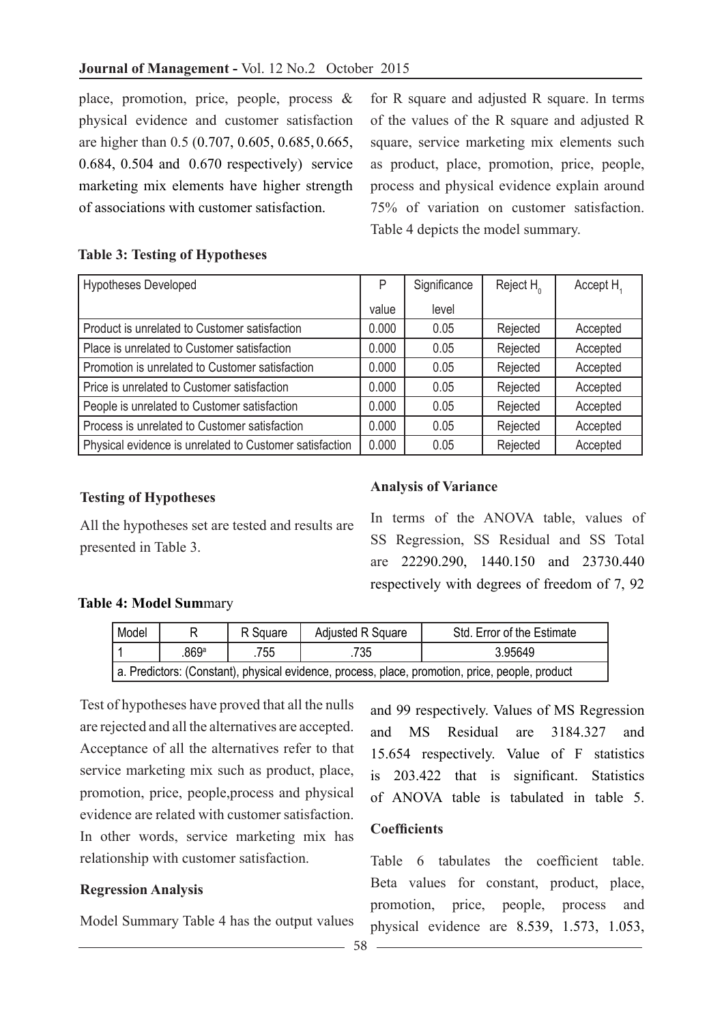place, promotion, price, people, process & physical evidence and customer satisfaction are higher than 0.5 (0.707, 0.605, 0.685, 0.665, 0.684, 0.504 and 0.670 respectively) service marketing mix elements have higher strength of associations with customer satisfaction.

for R square and adjusted R square. In terms of the values of the R square and adjusted R square, service marketing mix elements such as product, place, promotion, price, people, process and physical evidence explain around 75% of variation on customer satisfaction. Table 4 depicts the model summary.

# **Table 3: Testing of Hypotheses**

| <b>Hypotheses Developed</b>                             | P     | Significance | Reject $H_0$ | Accept H <sub>4</sub> |
|---------------------------------------------------------|-------|--------------|--------------|-----------------------|
|                                                         | value | level        |              |                       |
| Product is unrelated to Customer satisfaction           | 0.000 | 0.05         | Rejected     | Accepted              |
| Place is unrelated to Customer satisfaction             | 0.000 | 0.05         | Rejected     | Accepted              |
| Promotion is unrelated to Customer satisfaction         | 0.000 | 0.05         | Rejected     | Accepted              |
| Price is unrelated to Customer satisfaction             | 0.000 | 0.05         | Rejected     | Accepted              |
| People is unrelated to Customer satisfaction            | 0.000 | 0.05         | Rejected     | Accepted              |
| Process is unrelated to Customer satisfaction           | 0.000 | 0.05         | Rejected     | Accepted              |
| Physical evidence is unrelated to Customer satisfaction | 0.000 | 0.05         | Rejected     | Accepted              |

## **Testing of Hypotheses**

All the hypotheses set are tested and results are presented in Table 3.

## **Analysis of Variance**

In terms of the ANOVA table, values of SS Regression, SS Residual and SS Total are 22290.290, 1440.150 and 23730.440 respectively with degrees of freedom of 7, 92

## **Table 4: Model Sum**mary

| Model                                                                                           |                                 | Adjusted R Square<br>R Square |         | Std. Error of the Estimate |  |  |
|-------------------------------------------------------------------------------------------------|---------------------------------|-------------------------------|---------|----------------------------|--|--|
|                                                                                                 | 869 <sup>a</sup><br>.735<br>755 |                               | 3.95649 |                            |  |  |
| a. Predictors: (Constant), physical evidence, process, place, promotion, price, people, product |                                 |                               |         |                            |  |  |

Test of hypotheses have proved that all the nulls are rejected and all the alternatives are accepted. Acceptance of all the alternatives refer to that service marketing mix such as product, place, promotion, price, people,process and physical evidence are related with customer satisfaction. In other words, service marketing mix has relationship with customer satisfaction.

## **Regression Analysis**

Model Summary Table 4 has the output values

and 99 respectively. Values of MS Regression and MS Residual are 3184.327 and 15.654 respectively. Value of F statistics is 203.422 that is significant. Statistics of ANOVA table is tabulated in table 5.

### **Coefficients**

Table 6 tabulates the coefficient table. Beta values for constant, product, place, promotion, price, people, process and physical evidence are 8.539, 1.573, 1.053,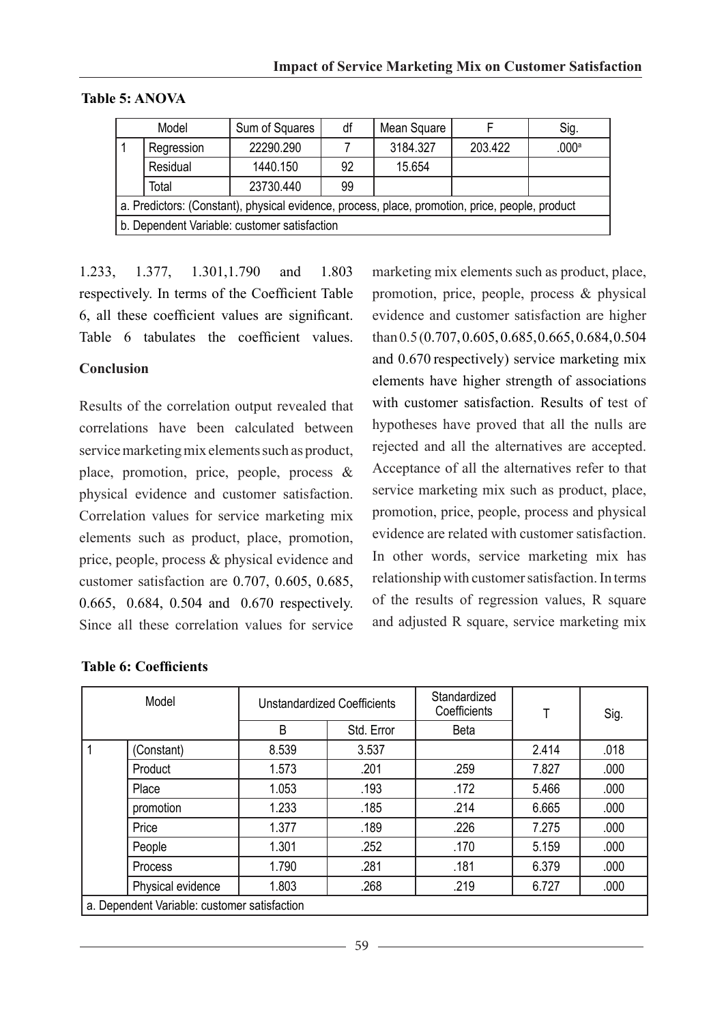|                                                                                                 | Model<br>Sum of Squares |           | df | Mean Square |         | Sig.  |  |
|-------------------------------------------------------------------------------------------------|-------------------------|-----------|----|-------------|---------|-------|--|
|                                                                                                 | Regression              | 22290.290 |    | 3184.327    | 203.422 | .000a |  |
|                                                                                                 | Residual                | 1440.150  | 92 | 15.654      |         |       |  |
|                                                                                                 | Total                   | 23730.440 | 99 |             |         |       |  |
| a. Predictors: (Constant), physical evidence, process, place, promotion, price, people, product |                         |           |    |             |         |       |  |
| b. Dependent Variable: customer satisfaction                                                    |                         |           |    |             |         |       |  |

### **Table 5: ANOVA**

1.233, 1.377, 1.301,1.790 and 1.803 respectively. In terms of the Coefficient Table 6, all these coefficient values are significant. Table 6 tabulates the coefficient values.

## **Conclusion**

Results of the correlation output revealed that correlations have been calculated between service marketing mix elements such as product, place, promotion, price, people, process & physical evidence and customer satisfaction. Correlation values for service marketing mix elements such as product, place, promotion, price, people, process & physical evidence and customer satisfaction are 0.707, 0.605, 0.685, 0.665, 0.684, 0.504 and 0.670 respectively. Since all these correlation values for service

marketing mix elements such as product, place, promotion, price, people, process & physical evidence and customer satisfaction are higher than 0.5 (0.707, 0.605, 0.685,0.665, 0.684,0.504 and 0.670 respectively) service marketing mix elements have higher strength of associations with customer satisfaction. Results of test of hypotheses have proved that all the nulls are rejected and all the alternatives are accepted. Acceptance of all the alternatives refer to that service marketing mix such as product, place, promotion, price, people, process and physical evidence are related with customer satisfaction. In other words, service marketing mix has relationship with customer satisfaction. In terms of the results of regression values, R square and adjusted R square, service marketing mix

| Model                                        |                   | Unstandardized Coefficients |                    | Standardized<br>Coefficients |       | Sig. |  |
|----------------------------------------------|-------------------|-----------------------------|--------------------|------------------------------|-------|------|--|
|                                              |                   | B                           | Std. Error<br>Beta |                              |       |      |  |
|                                              | (Constant)        | 8.539                       | 3.537              |                              | 2.414 | .018 |  |
|                                              | Product           | 1.573                       | .201               | .259                         | 7.827 | .000 |  |
|                                              | Place             | 1.053                       | .193               | .172                         | 5.466 | .000 |  |
|                                              | promotion         | 1.233                       | .185               | .214                         | 6.665 | .000 |  |
|                                              | Price             | 1.377                       | .189               | .226                         | 7.275 | .000 |  |
|                                              | People            | 1.301                       | .252               | .170                         | 5.159 | .000 |  |
|                                              | Process           | 1.790                       | .281               | .181                         | 6.379 | .000 |  |
|                                              | Physical evidence | 1.803                       | .268               | .219                         | 6.727 | .000 |  |
| a. Dependent Variable: customer satisfaction |                   |                             |                    |                              |       |      |  |

## **Table 6: Coefficients**

 $-59 -$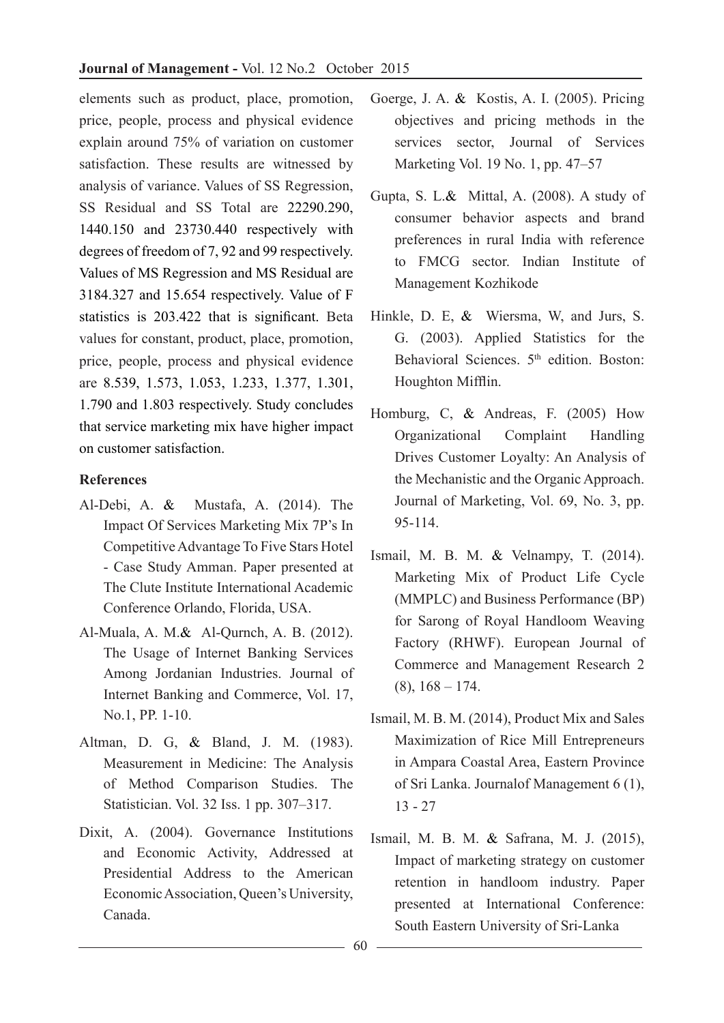elements such as product, place, promotion, price, people, process and physical evidence explain around 75% of variation on customer satisfaction. These results are witnessed by analysis of variance. Values of SS Regression, SS Residual and SS Total are 22290.290, 1440.150 and 23730.440 respectively with degrees of freedom of 7, 92 and 99 respectively. Values of MS Regression and MS Residual are 3184.327 and 15.654 respectively. Value of F statistics is 203.422 that is significant. Beta values for constant, product, place, promotion, price, people, process and physical evidence are 8.539, 1.573, 1.053, 1.233, 1.377, 1.301, 1.790 and 1.803 respectively. Study concludes that service marketing mix have higher impact on customer satisfaction.

# **References**

- Al-Debi, A. & Mustafa, A. (2014). The Impact Of Services Marketing Mix 7P's In Competitive Advantage To Five Stars Hotel - Case Study Amman. Paper presented at The Clute Institute International Academic Conference Orlando, Florida, USA.
- Al-Muala, A. M.& Al-Qurnch, A. B. (2012). The Usage of Internet Banking Services Among Jordanian Industries. Journal of Internet Banking and Commerce, Vol. 17, No.1, PP. 1-10.
- Altman, D. G, & Bland, J. M. (1983). Measurement in Medicine: The Analysis of Method Comparison Studies. The Statistician. Vol. 32 Iss. 1 pp. 307–317.
- Dixit, A. (2004). Governance Institutions and Economic Activity, Addressed at Presidential Address to the American Economic Association, Queen's University, Canada.
- Goerge, J. A. & Kostis, A. I. (2005). Pricing objectives and pricing methods in the services sector, Journal of Services Marketing Vol. 19 No. 1, pp. 47–57
- Gupta, S. L.& Mittal, A. (2008). A study of consumer behavior aspects and brand preferences in rural India with reference to FMCG sector. Indian Institute of Management Kozhikode
- Hinkle, D. E, & Wiersma, W, and Jurs, S. G. (2003). Applied Statistics for the Behavioral Sciences. 5<sup>th</sup> edition. Boston: Houghton Mifflin.
- Homburg, C, & Andreas, F. (2005) How Organizational Complaint Handling Drives Customer Loyalty: An Analysis of the Mechanistic and the Organic Approach. Journal of Marketing, Vol. 69, No. 3, pp. 95-114.
- Ismail, M. B. M. & Velnampy, T. (2014). Marketing Mix of Product Life Cycle (MMPLC) and Business Performance (BP) for Sarong of Royal Handloom Weaving Factory (RHWF). European Journal of Commerce and Management Research 2  $(8)$ ,  $168 - 174$ .
- Ismail, M. B. M. (2014), Product Mix and Sales Maximization of Rice Mill Entrepreneurs in Ampara Coastal Area, Eastern Province of Sri Lanka. Journalof Management 6 (1), 13 - 27
- Ismail, M. B. M. & Safrana, M. J. (2015), Impact of marketing strategy on customer retention in handloom industry. Paper presented at International Conference: South Eastern University of Sri-Lanka